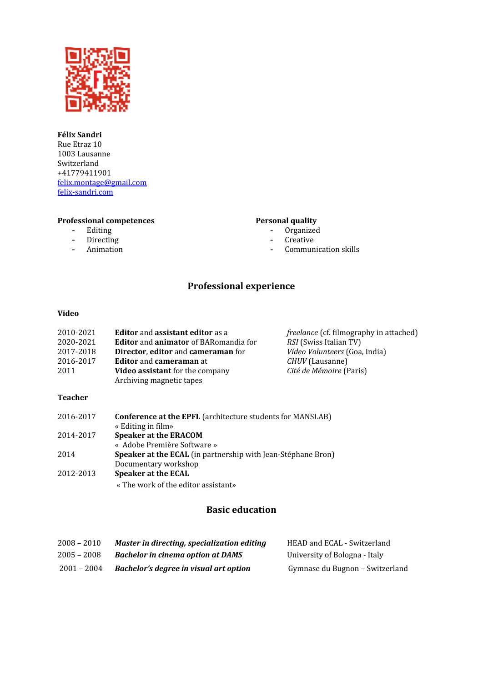

#### **Félix Sandri** Rue Etraz 10 1003 Lausanne Switzerland +41779411901 [felix.montage@gmail.com](mailto:felix.montage@gmail.com) [felix-sandri.com](http://felix-sandri.com/)

# **Professional competences**

- Editing
- Directing
- Animation

#### **Personal quality**

- Organized
- Creative
- Communication skills

# **Professional experience**

#### **Video**

| 2010-2021      | <b>Editor</b> and <b>assistant editor</b> as a                     | <i>freelance</i> (cf. filmography in attached) |
|----------------|--------------------------------------------------------------------|------------------------------------------------|
| 2020-2021      | <b>Editor</b> and <b>animator</b> of BARomandia for                | <i>RSI</i> (Swiss Italian TV)                  |
| 2017-2018      | Director, editor and cameraman for                                 | <i>Video Volunteers</i> (Goa, India)           |
| 2016-2017      | <b>Editor</b> and <b>cameraman</b> at                              | <i>CHUV</i> (Lausanne)                         |
| 2011           | <b>Video assistant</b> for the company<br>Archiving magnetic tapes | <i>Cité de Mémoire</i> (Paris)                 |
| <b>Teacher</b> |                                                                    |                                                |

#### **Teacher**

| 2016-2017 | <b>Conference at the EPFL</b> (architecture students for MANSLAB)   |
|-----------|---------------------------------------------------------------------|
|           | « Editing in film»                                                  |
| 2014-2017 | <b>Speaker at the ERACOM</b>                                        |
|           | « Adobe Première Software »                                         |
| 2014      | <b>Speaker at the ECAL</b> (in partnership with Jean-Stéphane Bron) |
|           | Documentary workshop                                                |
| 2012-2013 | <b>Speaker at the ECAL</b>                                          |
|           | « The work of the editor assistant»                                 |

## **Basic education**

| $2008 - 2010$ | Master in directing, specialization editing | HEAD and ECAL - Switzerland     |
|---------------|---------------------------------------------|---------------------------------|
| $2005 - 2008$ | <b>Bachelor in cinema option at DAMS</b>    | University of Bologna - Italy   |
| $2001 - 2004$ | Bachelor's degree in visual art option      | Gymnase du Bugnon – Switzerland |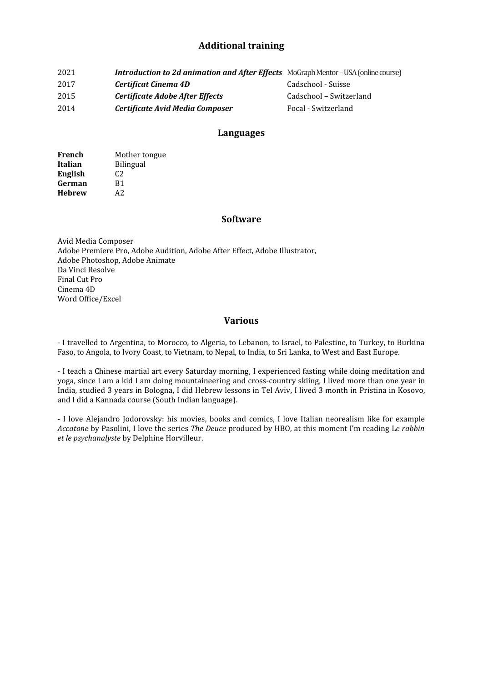## **Additional training**

| 2021 | <b>Introduction to 2d animation and After Effects</b> MoGraph Mentor - USA (online course) |                         |
|------|--------------------------------------------------------------------------------------------|-------------------------|
| 2017 | Certificat Cinema 4D                                                                       | Cadschool - Suisse      |
| 2015 | Certificate Adobe After Effects                                                            | Cadschool – Switzerland |
| 2014 | Certificate Avid Media Composer                                                            | Focal - Switzerland     |

#### **Languages**

| French         | Mother tongue    |
|----------------|------------------|
| Italian        | <b>Bilingual</b> |
| <b>English</b> | C <sub>2</sub>   |
| German         | B1               |
| <b>Hebrew</b>  | A2               |

#### **Software**

Avid Media Composer Adobe Premiere Pro, Adobe Audition, Adobe After Effect, Adobe Illustrator, Adobe Photoshop, Adobe Animate Da Vinci Resolve Final Cut Pro Cinema 4D Word Office/Excel

#### **Various**

- I travelled to Argentina, to Morocco, to Algeria, to Lebanon, to Israel, to Palestine, to Turkey, to Burkina Faso, to Angola, to Ivory Coast, to Vietnam, to Nepal, to India, to Sri Lanka, to West and East Europe.

- I teach a Chinese martial art every Saturday morning, I experienced fasting while doing meditation and yoga, since I am a kid I am doing mountaineering and cross-country skiing, I lived more than one year in India, studied 3 years in Bologna, I did Hebrew lessons in Tel Aviv, I lived 3 month in Pristina in Kosovo, and I did a Kannada course (South Indian language).

- I love Alejandro Jodorovsky: his movies, books and comics, I love Italian neorealism like for example *Accatone* by Pasolini, I love the series *The Deuce* produced by HBO, at this moment I'm reading L*e rabbin et le psychanalyste* by Delphine Horvilleur.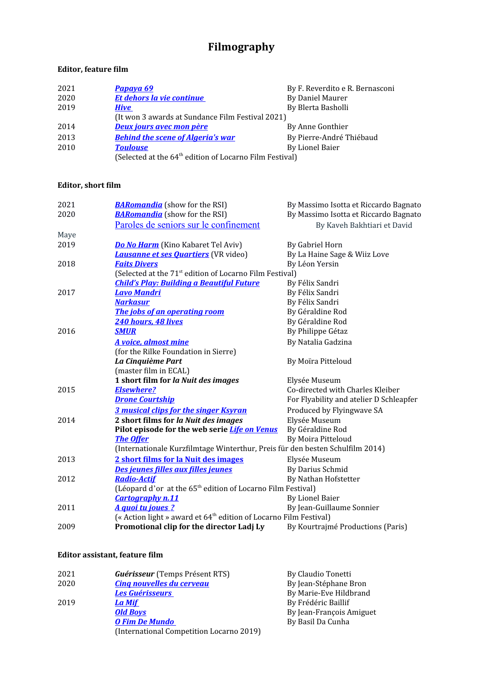# **Filmography**

## **Editor, feature film**

| 2021 | <u>Papaya 69</u>                                                    | By F. Reverdito e R. Bernasconi |
|------|---------------------------------------------------------------------|---------------------------------|
| 2020 | <b>Et dehors la vie continue</b>                                    | By Daniel Maurer                |
| 2019 | <b>Hive</b>                                                         | By Blerta Basholli              |
|      | (It won 3 awards at Sundance Film Festival 2021)                    |                                 |
| 2014 | <b>Deux jours avec mon père</b>                                     | By Anne Gonthier                |
| 2013 | <b>Behind the scene of Algeria's war</b>                            | By Pierre-André Thiébaud        |
| 2010 | <b>Toulouse</b>                                                     | By Lionel Baier                 |
|      | (Selected at the 64 <sup>th</sup> edition of Locarno Film Festival) |                                 |

## **Editor, short film**

| 2021 | <b>BARomandia</b> (show for the RSI)                                          | By Massimo Isotta et Riccardo Bagnato   |  |
|------|-------------------------------------------------------------------------------|-----------------------------------------|--|
| 2020 | <b>BARomandia</b> (show for the RSI)                                          | By Massimo Isotta et Riccardo Bagnato   |  |
|      | Paroles de seniors sur le confinement                                         | By Kaveh Bakhtiari et David             |  |
| Maye |                                                                               |                                         |  |
| 2019 | <b>Do No Harm</b> (Kino Kabaret Tel Aviv)                                     | By Gabriel Horn                         |  |
|      | <b>Lausanne et ses Quartiers</b> (VR video)                                   | By La Haine Sage & Wiiz Love            |  |
| 2018 | <b>Faits Divers</b>                                                           | By Léon Yersin                          |  |
|      | (Selected at the 71 <sup>st</sup> edition of Locarno Film Festival)           |                                         |  |
|      | <b>Child's Play: Building a Beautiful Future</b>                              | By Félix Sandri                         |  |
| 2017 | <b>Lavo Mandri</b>                                                            | By Félix Sandri                         |  |
|      | <b>Narkasur</b>                                                               | By Félix Sandri                         |  |
|      | The jobs of an operating room                                                 | By Géraldine Rod                        |  |
|      | 240 hours, 48 lives                                                           | By Géraldine Rod                        |  |
| 2016 | <b>SMUR</b>                                                                   | By Philippe Gétaz                       |  |
|      | A voice, almost mine                                                          | By Natalia Gadzina                      |  |
|      | (for the Rilke Foundation in Sierre)                                          |                                         |  |
|      | La Cinquième Part                                                             | By Moïra Pitteloud                      |  |
|      | (master film in ECAL)                                                         |                                         |  |
|      | 1 short film for la Nuit des images                                           | Elysée Museum                           |  |
| 2015 | <b>Elsewhere?</b>                                                             | Co-directed with Charles Kleiber        |  |
|      | <b>Drone Courtship</b>                                                        | For Flyability and atelier D Schleapfer |  |
|      | <b>3 musical clips for the singer Ksyran</b>                                  | Produced by Flyingwave SA               |  |
| 2014 | 2 short films for la Nuit des images                                          | Elysée Museum                           |  |
|      | Pilot episode for the web serie Life on Venus                                 | By Géraldine Rod                        |  |
|      | <b>The Offer</b>                                                              | By Moira Pitteloud                      |  |
|      | (Internationale Kurzfilmtage Winterthur, Preis für den besten Schulfilm 2014) |                                         |  |
| 2013 | 2 short films for la Nuit des images                                          | Elysée Museum                           |  |
|      | Des jeunes filles aux filles jeunes                                           | By Darius Schmid                        |  |
| 2012 | <b>Radio-Actif</b>                                                            | By Nathan Hofstetter                    |  |
|      | (Léopard d'or at the 65 <sup>th</sup> edition of Locarno Film Festival)       |                                         |  |
|      | <b>Cartography n.11</b>                                                       | <b>By Lionel Baier</b>                  |  |
| 2011 | A quoi tu joues ?                                                             | By Jean-Guillaume Sonnier               |  |
|      | (« Action light » award et 64 <sup>th</sup> edition of Locarno Film Festival) |                                         |  |
| 2009 | Promotional clip for the director Ladj Ly                                     | By Kourtrajmé Productions (Paris)       |  |
|      |                                                                               |                                         |  |

## **Editor assistant, feature film**

| 2021 | <b>Guérisseur</b> (Temps Présent RTS)    | By Claudio Tonetti       |
|------|------------------------------------------|--------------------------|
| 2020 | <b>Cing nouvelles du cerveau</b>         | By Jean-Stéphane Bron    |
|      | <b>Les Guérisseurs</b>                   | By Marie-Eve Hildbrand   |
| 2019 | <b>La Mif</b>                            | By Frédéric Baillif      |
|      | <b>Old Boys</b>                          | By Jean-François Amiguet |
|      | <b>O Fim De Mundo</b>                    | By Basil Da Cunha        |
|      | (International Competition Locarno 2019) |                          |